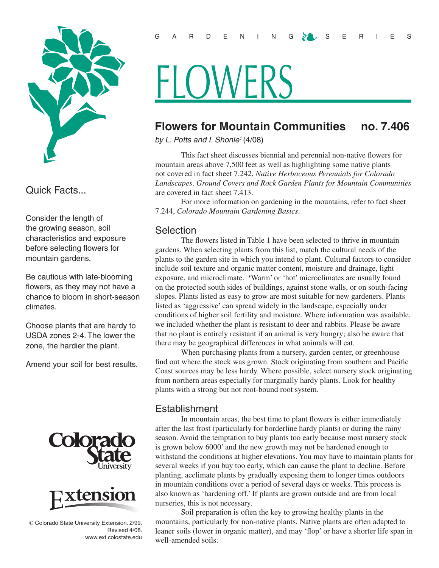

Quick Facts...

Consider the length of the growing season, soil characteristics and exposure before selecting flowers for mountain gardens.

Be cautious with late-blooming flowers, as they may not have a chance to bloom in short-season climates.

Choose plants that are hardy to USDA zones 2-4. The lower the zone, the hardier the plant.

Amend your soil for best results.





 Colorado State University Extension. 2/99. Revised 4/08. www.ext.colostate.edu

# **HLOWERS**

# **Flowers for Mountain Communities no. 7.406**

*by L. Potts and I. Shonle1* (4/08)

This fact sheet discusses biennial and perennial non-native flowers for mountain areas above 7,500 feet as well as highlighting some native plants not covered in fact sheet 7.242, *Native Herbaceous Perennials for Colorado Landscapes*. *Ground Covers and Rock Garden Plants for Mountain Communities* are covered in fact sheet 7.413.

For more information on gardening in the mountains, refer to fact sheet 7.244, *Colorado Mountain Gardening Basics*.

## **Selection**

The flowers listed in Table 1 have been selected to thrive in mountain gardens. When selecting plants from this list, match the cultural needs of the plants to the garden site in which you intend to plant. Cultural factors to consider include soil texture and organic matter content, moisture and drainage, light exposure, and microclimate. **'**Warm' or 'hot' microclimates are usually found on the protected south sides of buildings, against stone walls, or on south-facing slopes. Plants listed as easy to grow are most suitable for new gardeners. Plants listed as 'aggressive' can spread widely in the landscape, especially under conditions of higher soil fertility and moisture. Where information was available, we included whether the plant is resistant to deer and rabbits. Please be aware that no plant is entirely resistant if an animal is very hungry; also be aware that there may be geographical differences in what animals will eat.

When purchasing plants from a nursery, garden center, or greenhouse find out where the stock was grown. Stock originating from southern and Pacific Coast sources may be less hardy. Where possible, select nursery stock originating from northern areas especially for marginally hardy plants. Look for healthy plants with a strong but not root-bound root system.

## Establishment

In mountain areas, the best time to plant flowers is either immediately after the last frost (particularly for borderline hardy plants) or during the rainy season. Avoid the temptation to buy plants too early because most nursery stock is grown below 6000' and the new growth may not be hardened enough to withstand the conditions at higher elevations. You may have to maintain plants for several weeks if you buy too early, which can cause the plant to decline. Before planting, acclimate plants by gradually exposing them to longer times outdoors in mountain conditions over a period of several days or weeks. This process is also known as 'hardening off.' If plants are grown outside and are from local nurseries, this is not necessary.

Soil preparation is often the key to growing healthy plants in the mountains, particularly for non-native plants. Native plants are often adapted to leaner soils (lower in organic matter), and may 'flop' or have a shorter life span in well-amended soils.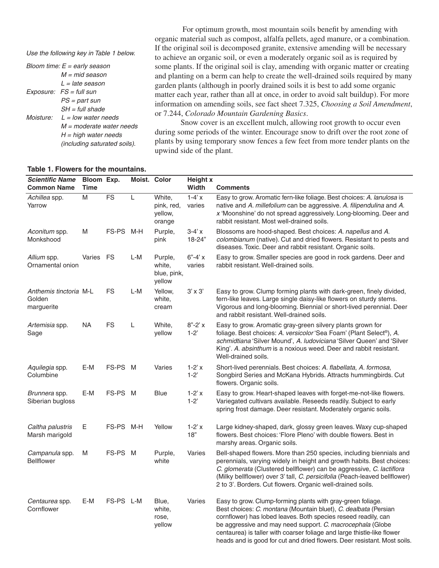*Use the following key in Table 1 below.*

| Bloom time: $E =$ early season |                                     |  |  |  |  |
|--------------------------------|-------------------------------------|--|--|--|--|
|                                | $M = mid$ season                    |  |  |  |  |
|                                | L = late season                     |  |  |  |  |
|                                | $Exposure: FS = full sun$           |  |  |  |  |
|                                | PS = part sun                       |  |  |  |  |
|                                | $SH = full shade$                   |  |  |  |  |
|                                | Moisture: $L = low$ water needs     |  |  |  |  |
|                                | $M =$ moderate water needs          |  |  |  |  |
|                                | $H = high$ water needs              |  |  |  |  |
|                                | <i>(including saturated soils).</i> |  |  |  |  |

 For optimum growth, most mountain soils benefit by amending with organic material such as compost, alfalfa pellets, aged manure, or a combination. If the original soil is decomposed granite, extensive amending will be necessary to achieve an organic soil, or even a moderately organic soil as is required by some plants. If the original soil is clay, amending with organic matter or creating and planting on a berm can help to create the well-drained soils required by many garden plants (although in poorly drained soils it is best to add some organic matter each year, rather than all at once, in order to avoid salt buildup). For more information on amending soils, see fact sheet 7.325, *Choosing a Soil Amendment*, or 7.244, *Colorado Mountain Gardening Basics*.

Snow cover is an excellent mulch, allowing root growth to occur even during some periods of the winter. Encourage snow to drift over the root zone of plants by using temporary snow fences a few feet from more tender plants on the upwind side of the plant.

#### *Scientific Name* **Common Name Bloom Exp. Time Exp. Moist. Color Height x Width Comments** *Achillea* spp. Yarrow M FS L White, pink, red, yellow, orange  $1-4'$  x varies Easy to grow. Aromatic fern-like foliage. Best choices: *A. lanulosa* is native and *A. millefolium* can be aggressive. *A. filipendulina* and *A. x* 'Moonshine' do not spread aggressively. Long-blooming. Deer and rabbit resistant. Most well-drained soils. *Aconitum* spp. Monkshood M FS-PS M-H Purple, pink 3-4' x 18-24" Blossoms are hood-shaped. Best choices: *A. napellus* and *A. colombianum* (native). Cut and dried flowers. Resistant to pests and diseases. Toxic. Deer and rabbit resistant. Organic soils. *Allium* spp. Ornamental onion Varies FS L-M Purple, white, blue, pink, yellow  $6" - 4'$  x varies Easy to grow. Smaller species are good in rock gardens. Deer and rabbit resistant. Well-drained soils. *Anthemis tinctoria*  Golden marguerite FS L-M Yellow, white, cream 3' x 3' Easy to grow. Clump forming plants with dark-green, finely divided, fern-like leaves. Large single daisy-like flowers on sturdy stems. Vigorous and long-blooming. Biennial or short-lived perennial. Deer and rabbit resistant. Well-drained soils. *Artemisia* spp. Sage NA FS L White, yellow 8"-2' x 1-2' Easy to grow. Aromatic gray-green silvery plants grown for foliage. Best choices: *A. versicolor* 'Sea Foam' (Plant Select®), *A. schmidtiana* 'Silver Mound', *A. ludoviciana* 'Silver Queen' and 'Silver King'. *A. absinthum* is a noxious weed. Deer and rabbit resistant. Well-drained soils. *Aquilegia* spp. **Columbine** E-M FS-PS M Varies 1-2' x 1-2' Short-lived perennials. Best choices: *A. flabellata*, *A. formosa*, Songbird Series and McKana Hybrids. Attracts hummingbirds. Cut flowers. Organic soils. *Brunnera* spp. Siberian bugloss E-M FS-PS M Blue 1-2' x 1-2' Easy to grow. Heart-shaped leaves with forget-me-not-like flowers. Variegated cultivars available. Reseeds readily. Subject to early spring frost damage. Deer resistant. Moderately organic soils. *Caltha palustris* Marsh marigold E FS-PS M-H Yellow 1-2' x 18" Large kidney-shaped, dark, glossy green leaves. Waxy cup-shaped flowers. Best choices: 'Flore Pleno' with double flowers. Best in marshy areas. Organic soils. *Campanula* spp. Bellflower M FS-PS M Purple, white Varies Bell-shaped flowers. More than 250 species, including biennials and perennials, varying widely in height and growth habits. Best choices: *C. glomerata* (Clustered bellflower) can be aggressive, *C. lactiflora* (Milky bellflower) over 3' tall, *C. persicifolia* (Peach-leaved bellflower) 2 to 3'. Borders. Cut flowers. Organic well-drained soils. *Centaurea* spp. **Cornflower** E-M FS-PS L-M Blue, white, rose, yellow Varies Easy to grow. Clump-forming plants with gray-green foliage. Best choices: *C. montana* (Mountain bluet), *C. dealbata* (Persian cornflower) has lobed leaves. Both species reseed readily, can be aggressive and may need support. *C. macrocephala* (Globe centaurea) is taller with coarser foliage and large thistle-like flower heads and is good for cut and dried flowers. Deer resistant. Most soils.

#### **Table 1. Flowers for the mountains.**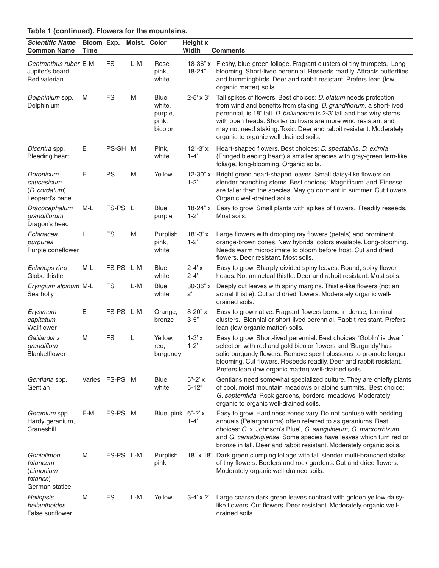| Table 1 (continued). Flowers for the mountains.                     |             |                         |       |                                                |                          |                                                                                                                                                                                                                                                                                                                                                                                                    |  |
|---------------------------------------------------------------------|-------------|-------------------------|-------|------------------------------------------------|--------------------------|----------------------------------------------------------------------------------------------------------------------------------------------------------------------------------------------------------------------------------------------------------------------------------------------------------------------------------------------------------------------------------------------------|--|
| <b>Scientific Name</b><br><b>Common Name</b>                        | <b>Time</b> | Bloom Exp. Moist. Color |       |                                                | <b>Height x</b><br>Width | <b>Comments</b>                                                                                                                                                                                                                                                                                                                                                                                    |  |
| Centranthus ruber E-M<br>Jupiter's beard,<br>Red valerian           |             | <b>FS</b>               | $L-M$ | Rose-<br>pink,<br>white                        | $18-36"$ x<br>18-24"     | Fleshy, blue-green foliage. Fragrant clusters of tiny trumpets. Long<br>blooming. Short-lived perennial. Reseeds readily. Attracts butterflies<br>and hummingbirds. Deer and rabbit resistant. Prefers lean (low<br>organic matter) soils.                                                                                                                                                         |  |
| Delphinium spp.<br>Delphinium                                       | M           | <b>FS</b>               | M     | Blue,<br>white,<br>purple,<br>pink,<br>bicolor | $2 - 5' \times 3'$       | Tall spikes of flowers. Best choices: D. elatum needs protection<br>from wind and benefits from staking. D. grandiflorum, a short-lived<br>perennial, is 18" tall. D. belladonna is 2-3' tall and has wiry stems<br>with open heads. Shorter cultivars are more wind resistant and<br>may not need staking. Toxic. Deer and rabbit resistant. Moderately<br>organic to organic well-drained soils. |  |
| Dicentra spp.<br><b>Bleeding heart</b>                              | Ε           | PS-SH M                 |       | Pink,<br>white                                 | $12" - 3'x$<br>$1 - 4'$  | Heart-shaped flowers. Best choices: D. spectabilis, D. eximia<br>(Fringed bleeding heart) a smaller species with gray-green fern-like<br>foliage, long-blooming. Organic soils.                                                                                                                                                                                                                    |  |
| Doronicum<br>caucasicum<br>(D. cordatum)<br>Leopard's bane          | Ε           | <b>PS</b>               | M     | Yellow                                         | $12-30"$ x<br>$1-2'$     | Bright green heart-shaped leaves. Small daisy-like flowers on<br>slender branching stems. Best choices: 'Magnificum' and 'Finesse'<br>are taller than the species. May go dormant in summer. Cut flowers.<br>Organic well-drained soils.                                                                                                                                                           |  |
| Dracocephalum<br>grandiflorum<br>Dragon's head                      | M-L         | FS-PS L                 |       | Blue,<br>purple                                | 18-24" $x$<br>$1 - 2'$   | Easy to grow. Small plants with spikes of flowers. Readily reseeds.<br>Most soils.                                                                                                                                                                                                                                                                                                                 |  |
| Echinacea<br>purpurea<br>Purple coneflower                          | L           | <b>FS</b>               | M     | Purplish<br>pink,<br>white                     | $18" - 3'x$<br>$1-2'$    | Large flowers with drooping ray flowers (petals) and prominent<br>orange-brown cones. New hybrids, colors available. Long-blooming.<br>Needs warm microclimate to bloom before frost. Cut and dried<br>flowers. Deer resistant. Most soils.                                                                                                                                                        |  |
| Echinops ritro<br>Globe thistle                                     | M-L         | FS-PS L-M               |       | Blue,<br>white                                 | $2 - 4' x$<br>$2 - 4'$   | Easy to grow. Sharply divided spiny leaves. Round, spiky flower<br>heads. Not an actual thistle. Deer and rabbit resistant. Most soils.                                                                                                                                                                                                                                                            |  |
| Eryngium alpinum M-L<br>Sea holly                                   |             | <b>FS</b>               | L-M   | Blue,<br>white                                 | 30-36" x<br>$2^{\circ}$  | Deeply cut leaves with spiny margins. Thistle-like flowers (not an<br>actual thistle). Cut and dried flowers. Moderately organic well-<br>drained soils.                                                                                                                                                                                                                                           |  |
| Erysimum<br>capitatum<br>Wallflower                                 | E           | FS-PS L-M               |       | Orange,<br>bronze                              | $8-20"$ x<br>$3 - 5"$    | Easy to grow native. Fragrant flowers borne in dense, terminal<br>clusters. Biennial or short-lived perennial. Rabbit resistant. Prefers<br>lean (low organic matter) soils.                                                                                                                                                                                                                       |  |
| Gaillardia x<br>grandiflora<br>Blanketflower                        | M           | <b>FS</b>               | L     | Yellow,<br>red.<br>burgundy                    | $1-3'x$<br>$1-2'$        | Easy to grow. Short-lived perennial. Best choices: 'Goblin' is dwarf<br>selection with red and gold bicolor flowers and 'Burgundy' has<br>solid burgundy flowers. Remove spent blossoms to promote longer<br>blooming. Cut flowers. Reseeds readily. Deer and rabbit resistant.<br>Prefers lean (low organic matter) well-drained soils.                                                           |  |
| Gentiana spp.<br>Gentian                                            |             | Varies FS-PS M          |       | Blue,<br>white                                 | $5" - 2'x$<br>$5 - 12"$  | Gentians need somewhat specialized culture. They are chiefly plants<br>of cool, moist mountain meadows or alpine summits. Best choice:<br>G. septemfida. Rock gardens, borders, meadows. Moderately<br>organic to organic well-drained soils.                                                                                                                                                      |  |
| Geranium spp.<br>Hardy geranium,<br>Cranesbill                      | E-M         | FS-PS M                 |       | Blue, pink 6"-2' x                             | $1 - 4'$                 | Easy to grow. Hardiness zones vary. Do not confuse with bedding<br>annuals (Pelargoniums) often referred to as geraniums. Best<br>choices: G. x 'Johnson's Blue', G. sanguineum, G. macrorrhizum<br>and G. cantabrigiense. Some species have leaves which turn red or<br>bronze in fall. Deer and rabbit resistant. Moderately organic soils.                                                      |  |
| Goniolimon<br>tataricum<br>(Limonium<br>tatarica)<br>German statice | M           | FS-PS L-M               |       | Purplish<br>pink                               |                          | 18" x 18" Dark green clumping foliage with tall slender multi-branched stalks<br>of tiny flowers. Borders and rock gardens. Cut and dried flowers.<br>Moderately organic well-drained soils.                                                                                                                                                                                                       |  |
| <b>Heliopsis</b><br>helianthoides<br>False sunflower                | M           | <b>FS</b>               | L-M   | Yellow                                         | $3-4' \times 2'$         | Large coarse dark green leaves contrast with golden yellow daisy-<br>like flowers. Cut flowers. Deer resistant. Moderately organic well-<br>drained soils.                                                                                                                                                                                                                                         |  |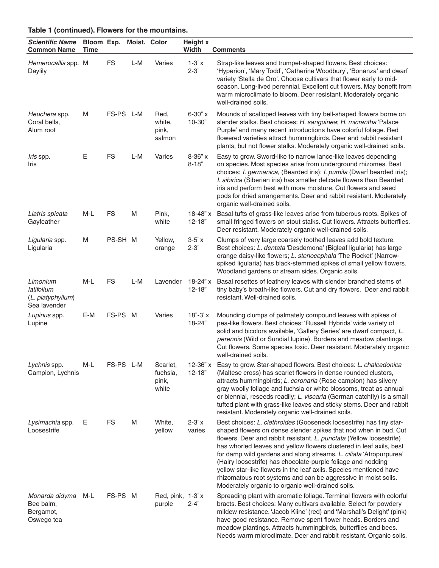| <b>Scientific Name</b><br><b>Common Name</b>                | Bloom Exp. Moist. Color<br>Time |           |     |                                        | <b>Height x</b><br>Width | <b>Comments</b>                                                                                                                                                                                                                                                                                                                                                                                                                                                                                                                                                                                                           |
|-------------------------------------------------------------|---------------------------------|-----------|-----|----------------------------------------|--------------------------|---------------------------------------------------------------------------------------------------------------------------------------------------------------------------------------------------------------------------------------------------------------------------------------------------------------------------------------------------------------------------------------------------------------------------------------------------------------------------------------------------------------------------------------------------------------------------------------------------------------------------|
| Hemerocallis spp. M<br>Daylily                              |                                 | <b>FS</b> | L-M | Varies                                 | $1-3'x$<br>$2 - 3'$      | Strap-like leaves and trumpet-shaped flowers. Best choices:<br>'Hyperion', 'Mary Todd', 'Catherine Woodbury', 'Bonanza' and dwarf<br>variety 'Stella de Oro'. Choose cultivars that flower early to mid-<br>season. Long-lived perennial. Excellent cut flowers. May benefit from<br>warm microclimate to bloom. Deer resistant. Moderately organic<br>well-drained soils.                                                                                                                                                                                                                                                |
| Heuchera spp.<br>Coral bells,<br>Alum root                  | M                               | FS-PS L-M |     | Red,<br>white,<br>pink,<br>salmon      | 6-30" x<br>$10 - 30"$    | Mounds of scalloped leaves with tiny bell-shaped flowers borne on<br>slender stalks. Best choices: H. sanguinea; H. micrantha 'Palace<br>Purple' and many recent introductions have colorful foliage. Red<br>flowered varieties attract hummingbirds. Deer and rabbit resistant<br>plants, but not flower stalks. Moderately organic well-drained soils.                                                                                                                                                                                                                                                                  |
| <i>Iris</i> spp.<br>Iris                                    | Ε                               | <b>FS</b> | L-M | Varies                                 | 8-36" x<br>$8 - 18"$     | Easy to grow. Sword-like to narrow lance-like leaves depending<br>on species. Most species arise from underground rhizomes. Best<br>choices: I. germanica, (Bearded iris); I. pumila (Dwarf bearded iris);<br>I. sibirica (Siberian iris) has smaller delicate flowers than Bearded<br>iris and perform best with more moisture. Cut flowers and seed<br>pods for dried arrangements. Deer and rabbit resistant. Moderately<br>organic well-drained soils.                                                                                                                                                                |
| Liatris spicata<br>Gayfeather                               | M-L                             | <b>FS</b> | M   | Pink,<br>white                         | $18-48"$ x<br>$12 - 18"$ | Basal tufts of grass-like leaves arise from tuberous roots. Spikes of<br>small fringed flowers on stout stalks. Cut flowers. Attracts butterflies.<br>Deer resistant. Moderately organic well-drained soils.                                                                                                                                                                                                                                                                                                                                                                                                              |
| Ligularia spp.<br>Ligularia                                 | M                               | PS-SH M   |     | Yellow,<br>orange                      | $3-5'$ x<br>$2 - 3'$     | Clumps of very large coarsely toothed leaves add bold texture.<br>Best choices: L. dentata 'Desdemona' (Bigleaf ligularia) has large<br>orange daisy-like flowers; L. stenocephala 'The Rocket' (Narrow-<br>spiked ligularia) has black-stemmed spikes of small yellow flowers.<br>Woodland gardens or stream sides. Organic soils.                                                                                                                                                                                                                                                                                       |
| Limonium<br>latifolium<br>(L. platyphyllum)<br>Sea lavender | $M-L$                           | <b>FS</b> | L-M | Lavender                               | $18-24"x$<br>$12 - 18"$  | Basal rosettes of leathery leaves with slender branched stems of<br>tiny baby's breath-like flowers. Cut and dry flowers. Deer and rabbit<br>resistant. Well-drained soils.                                                                                                                                                                                                                                                                                                                                                                                                                                               |
| Lupinus spp.<br>Lupine                                      | E-M                             | FS-PS M   |     | Varies                                 | $18" - 3'x$<br>18-24"    | Mounding clumps of palmately compound leaves with spikes of<br>pea-like flowers. Best choices: 'Russell Hybrids' wide variety of<br>solid and bicolors available, 'Gallery Series' are dwarf compact, L.<br>perennis (Wild or Sundial lupine). Borders and meadow plantings.<br>Cut flowers. Some species toxic. Deer resistant. Moderately organic<br>well-drained soils.                                                                                                                                                                                                                                                |
| Lychnis spp.<br>Campion, Lychnis                            | $M-L$                           | FS-PS L-M |     | Scarlet,<br>fuchsia,<br>pink,<br>white | $12 - 18"$               | 12-36" x Easy to grow. Star-shaped flowers. Best choices: L. chalcedonica<br>(Maltese cross) has scarlet flowers in dense rounded clusters,<br>attracts hummingbirds; L. coronaria (Rose campion) has silvery<br>gray woolly foliage and fuchsia or white blossoms, treat as annual<br>or biennial, reseeds readily; L. viscaria (German catchfly) is a small<br>tufted plant with grass-like leaves and sticky stems. Deer and rabbit<br>resistant. Moderately organic well-drained soils.                                                                                                                               |
| Lysimachia spp.<br>Loosestrife                              | Е                               | <b>FS</b> | M   | White,<br>yellow                       | $2 - 3' x$<br>varies     | Best choices: L. clethroides (Gooseneck loosestrife) has tiny star-<br>shaped flowers on dense slender spikes that nod when in bud. Cut<br>flowers. Deer and rabbit resistant. L. punctata (Yellow loosestrife)<br>has whorled leaves and yellow flowers clustered in leaf axils, best<br>for damp wild gardens and along streams. L. ciliata 'Atropurpurea'<br>(Hairy loosestrife) has chocolate-purple foliage and nodding<br>yellow star-like flowers in the leaf axils. Species mentioned have<br>rhizomatous root systems and can be aggressive in moist soils.<br>Moderately organic to organic well-drained soils. |
| Monarda didyma<br>Bee balm,<br>Bergamot,<br>Oswego tea      | M-L                             | FS-PS M   |     | Red, pink, 1-3'x<br>purple             | $2 - 4'$                 | Spreading plant with aromatic foliage. Terminal flowers with colorful<br>bracts. Best choices: Many cultivars available. Select for powdery<br>mildew resistance. 'Jacob Kline' (red) and 'Marshall's Delight' (pink)<br>have good resistance. Remove spent flower heads. Borders and<br>meadow plantings. Attracts hummingbirds, butterflies and bees.<br>Needs warm microclimate. Deer and rabbit resistant. Organic soils.                                                                                                                                                                                             |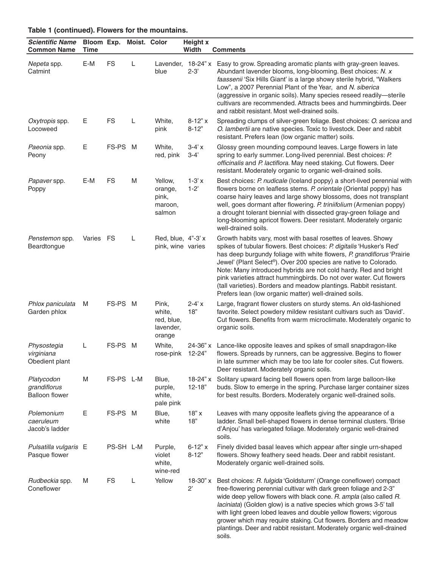| <b>Scientific Name</b><br><b>Common Name</b>        | <b>Time</b> | Bloom Exp. Moist. Color |   |                                                      | <b>Height x</b><br>Width | <b>Comments</b>                                                                                                                                                                                                                                                                                                                                                                                                                                                                                                                                              |
|-----------------------------------------------------|-------------|-------------------------|---|------------------------------------------------------|--------------------------|--------------------------------------------------------------------------------------------------------------------------------------------------------------------------------------------------------------------------------------------------------------------------------------------------------------------------------------------------------------------------------------------------------------------------------------------------------------------------------------------------------------------------------------------------------------|
| Nepeta spp.<br>Catmint                              | E-M         | <b>FS</b>               | L | blue                                                 | $2 - 3'$                 | Lavender, 18-24" x Easy to grow. Spreading aromatic plants with gray-green leaves.<br>Abundant lavender blooms, long-blooming. Best choices: N. x<br>faassenii 'Six Hills Giant' is a large showy sterile hybrid, "Walkers<br>Low", a 2007 Perennial Plant of the Year, and N. siberica<br>(aggressive in organic soils). Many species reseed readily-sterile<br>cultivars are recommended. Attracts bees and hummingbirds. Deer<br>and rabbit resistant. Most well-drained soils.                                                                           |
| Oxytropis spp.<br>Locoweed                          | Ε           | FS                      | L | White,<br>pink                                       | $8 - 12" x$<br>$8 - 12"$ | Spreading clumps of silver-green foliage. Best choices: O. sericea and<br>O. lambertii are native species. Toxic to livestock. Deer and rabbit<br>resistant. Prefers lean (low organic matter) soils.                                                                                                                                                                                                                                                                                                                                                        |
| Paeonia spp.<br>Peony                               | Ε           | FS-PS M                 |   | White,<br>red, pink                                  | $3-4'x$<br>$3 - 4'$      | Glossy green mounding compound leaves. Large flowers in late<br>spring to early summer. Long-lived perennial. Best choices: P.<br>officinalis and P. lactiflora. May need staking. Cut flowers. Deer<br>resistant. Moderately organic to organic well-drained soils.                                                                                                                                                                                                                                                                                         |
| Papaver spp.<br>Poppy                               | E-M         | <b>FS</b>               | M | Yellow,<br>orange,<br>pink,<br>maroon,<br>salmon     | $1 - 3' x$<br>$1-2"$     | Best choices: P. nudicale (Iceland poppy) a short-lived perennial with<br>flowers borne on leafless stems. P. orientale (Oriental poppy) has<br>coarse hairy leaves and large showy blossoms, does not transplant<br>well, goes dormant after flowering. P. triniifolium (Armenian poppy)<br>a drought tolerant biennial with dissected gray-green foliage and<br>long-blooming apricot flowers. Deer resistant. Moderately organic<br>well-drained soils.                                                                                                   |
| Penstemon spp.<br>Beardtongue                       | Varies FS   |                         | L | Red, blue, 4"-3' x<br>pink, wine varies              |                          | Growth habits vary, most with basal rosettes of leaves. Showy<br>spikes of tubular flowers. Best choices: P. digitalis 'Husker's Red'<br>has deep burgundy foliage with white flowers, P. grandiflorus 'Prairie<br>Jewel' (Plant Select®). Over 200 species are native to Colorado.<br>Note: Many introduced hybrids are not cold hardy. Red and bright<br>pink varieties attract hummingbirds. Do not over water. Cut flowers<br>(tall varieties). Borders and meadow plantings. Rabbit resistant.<br>Prefers lean (low organic matter) well-drained soils. |
| Phlox paniculata<br>Garden phlox                    | M           | FS-PS M                 |   | Pink,<br>white,<br>red, blue,<br>lavender,<br>orange | $2 - 4' x$<br>18"        | Large, fragrant flower clusters on sturdy stems. An old-fashioned<br>favorite. Select powdery mildew resistant cultivars such as 'David'.<br>Cut flowers. Benefits from warm microclimate. Moderately organic to<br>organic soils.                                                                                                                                                                                                                                                                                                                           |
| Physostegia<br>virginiana<br>Obedient plant         | L           | FS-PS M                 |   | White,<br>rose-pink                                  | 24-36" x<br>12-24"       | Lance-like opposite leaves and spikes of small snapdragon-like<br>flowers. Spreads by runners, can be aggressive. Begins to flower<br>in late summer which may be too late for cooler sites. Cut flowers.<br>Deer resistant. Moderately organic soils.                                                                                                                                                                                                                                                                                                       |
| Platycodon<br>grandiflorus<br><b>Balloon flower</b> | M           | FS-PS L-M               |   | Blue,<br>purple,<br>white,<br>pale pink              | 18-24" x<br>$12 - 18"$   | Solitary upward facing bell flowers open from large balloon-like<br>buds. Slow to emerge in the spring. Purchase larger container sizes<br>for best results. Borders. Moderately organic well-drained soils.                                                                                                                                                                                                                                                                                                                                                 |
| Polemonium<br>caeruleum<br>Jacob's ladder           | Ε           | FS-PS M                 |   | Blue,<br>white                                       | 18"x<br>18"              | Leaves with many opposite leaflets giving the appearance of a<br>ladder. Small bell-shaped flowers in dense terminal clusters. 'Brise<br>d'Anjou' has variegated foliage. Moderately organic well-drained<br>soils.                                                                                                                                                                                                                                                                                                                                          |
| Pulsatilla vulgaris E<br>Pasque flower              |             | PS-SH L-M               |   | Purple,<br>violet<br>white,<br>wine-red              | $6 - 12" x$<br>$8 - 12"$ | Finely divided basal leaves which appear after single urn-shaped<br>flowers. Showy feathery seed heads. Deer and rabbit resistant.<br>Moderately organic well-drained soils.                                                                                                                                                                                                                                                                                                                                                                                 |
| Rudbeckia spp.<br>Coneflower                        | M           | <b>FS</b>               | L | Yellow                                               | 18-30" x<br>$2^{\prime}$ | Best choices: R. fulgida 'Goldsturm' (Orange coneflower) compact<br>free-flowering perennial cultivar with dark green foliage and 2-3"<br>wide deep yellow flowers with black cone. R. ampla (also called R.<br>laciniata) (Golden glow) is a native species which grows 3-5' tall<br>with light green lobed leaves and double yellow flowers; vigorous<br>grower which may require staking. Cut flowers. Borders and meadow<br>plantings. Deer and rabbit resistant. Moderately organic well-drained<br>soils.                                              |